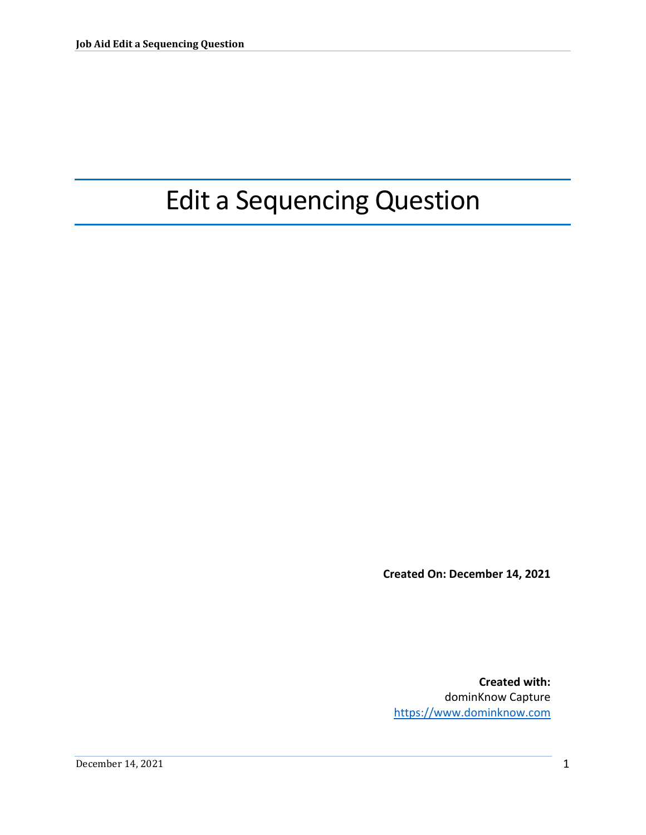## Edit a Sequencing Question

**Created On: December 14, 2021**

**Created with:** dominKnow Capture <https://www.dominknow.com>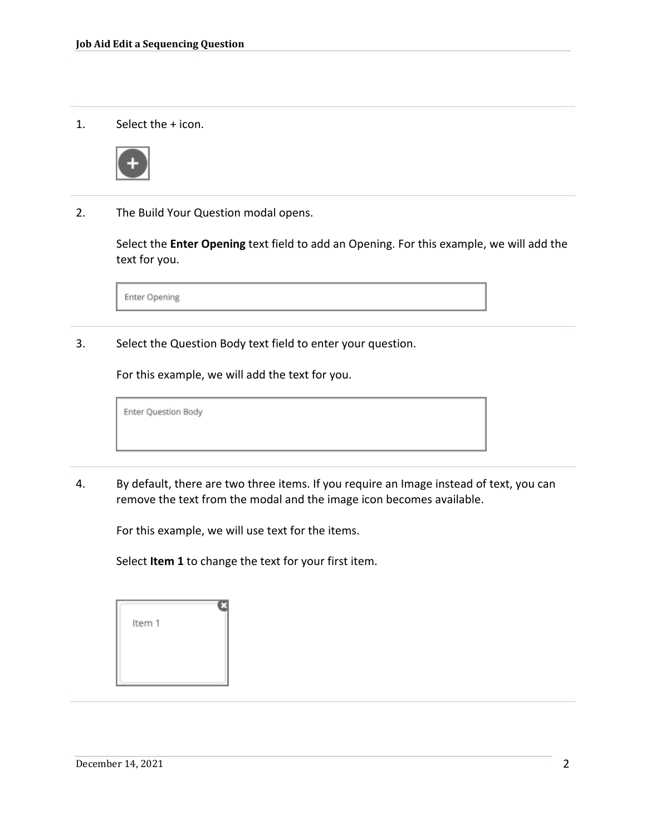1. Select the + icon.



2. The Build Your Question modal opens.

Select the **Enter Opening** text field to add an Opening. For this example, we will add the text for you.

Enter Opening

3. Select the Question Body text field to enter your question.

For this example, we will add the text for you.

Enter Question Body

4. By default, there are two three items. If you require an Image instead of text, you can remove the text from the modal and the image icon becomes available.

For this example, we will use text for the items.

Select **Item 1** to change the text for your first item.

| Item 1 |  |
|--------|--|
|        |  |
|        |  |
|        |  |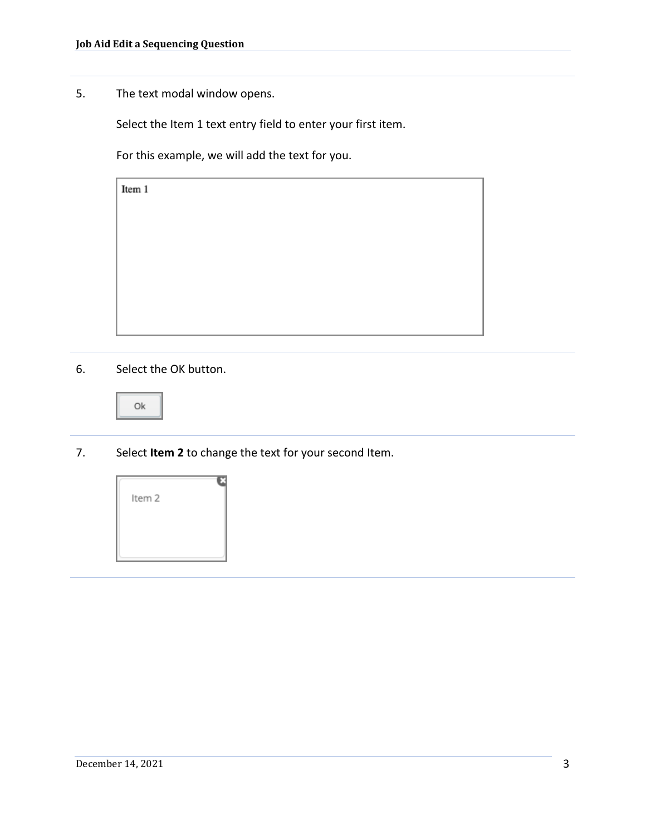5. The text modal window opens.

Select the Item 1 text entry field to enter your first item.

For this example, we will add the text for you.

Item 1

6. Select the OK button.



7. Select **Item 2** to change the text for your second Item.

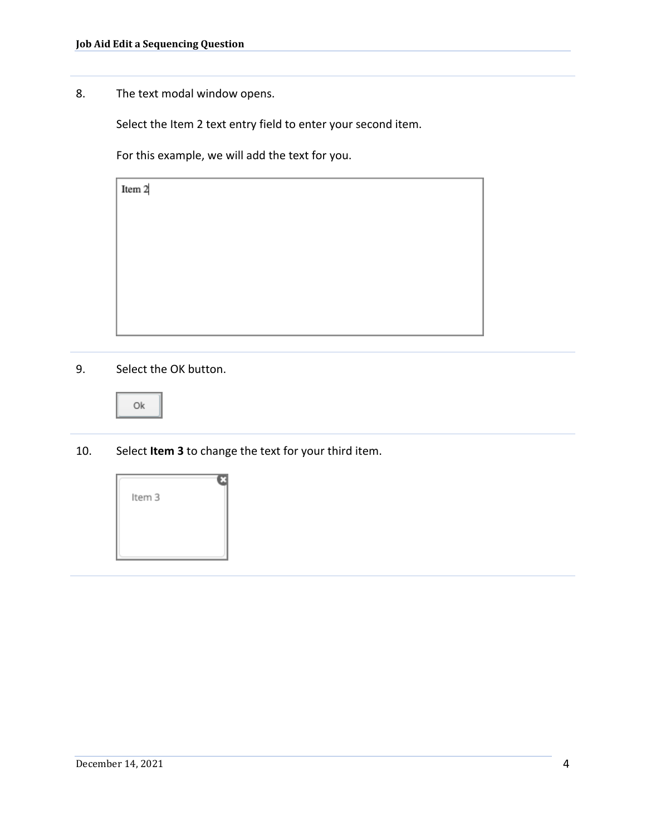8. The text modal window opens.

Select the Item 2 text entry field to enter your second item.

For this example, we will add the text for you.

9. Select the OK button.

|--|

10. Select **Item 3** to change the text for your third item.

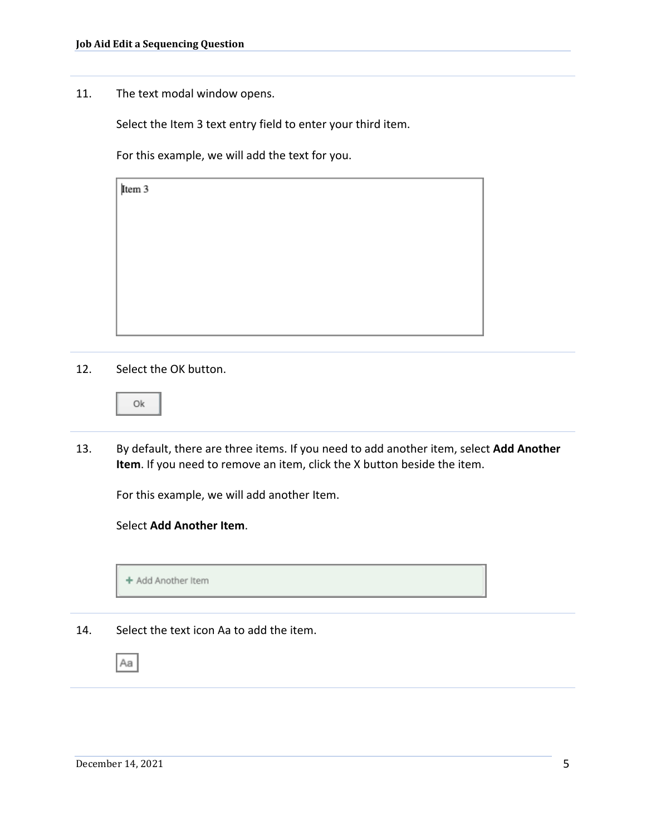11. The text modal window opens.

Select the Item 3 text entry field to enter your third item.

For this example, we will add the text for you.

Item 3

12. Select the OK button.

13. By default, there are three items. If you need to add another item, select **Add Another Item**. If you need to remove an item, click the X button beside the item.

For this example, we will add another Item.

## Select **Add Another Item**.



14. Select the text icon Aa to add the item.

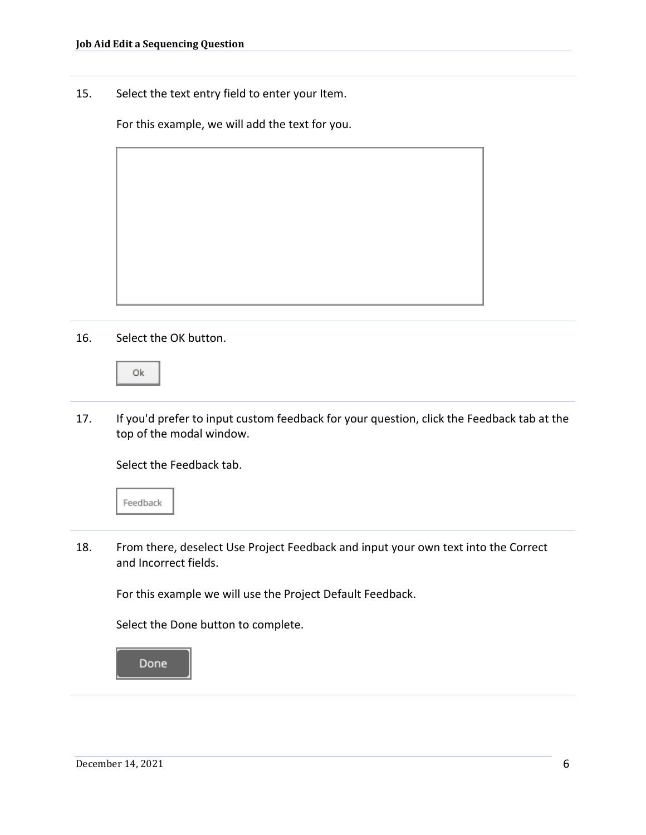15. Select the text entry field to enter your Item.

For this example, we will add the text for you.

16. Select the OK button.

Ok

17. If you'd prefer to input custom feedback for your question, click the Feedback tab at the top of the modal window.

Select the Feedback tab.



18. From there, deselect Use Project Feedback and input your own text into the Correct and Incorrect fields.

For this example we will use the Project Default Feedback.

Select the Done button to complete.